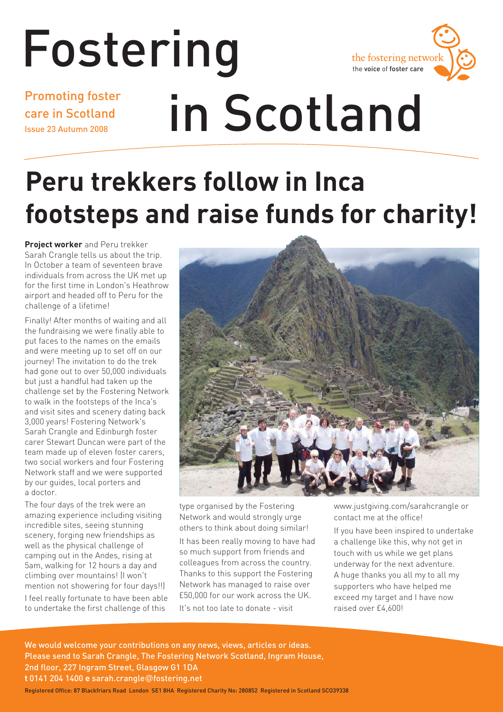# Fostering

the fostering networ the voice of foster care

Promoting foster care in Scotland Issue 23 Autumn 2008

# in Scotland

# **Peru trekkers follow in Inca footsteps and raise funds for charity!**

**Project worker** and Peru trekker Sarah Crangle tells us about the trip. In October a team of seventeen brave individuals from across the UK met up for the first time in London's Heathrow airport and headed off to Peru for the challenge of a lifetime!

Finally! After months of waiting and all the fundraising we were finally able to put faces to the names on the emails and were meeting up to set off on our journey! The invitation to do the trek had gone out to over 50,000 individuals but just a handful had taken up the challenge set by the Fostering Network to walk in the footsteps of the Inca's and visit sites and scenery dating back 3,000 years! Fostering Network's Sarah Crangle and Edinburgh foster carer Stewart Duncan were part of the team made up of eleven foster carers, two social workers and four Fostering Network staff and we were supported by our guides, local porters and a doctor.

The four days of the trek were an amazing experience including visiting incredible sites, seeing stunning scenery, forging new friendships as well as the physical challenge of camping out in the Andes, rising at 5am, walking for 12 hours a day and climbing over mountains! (I won't mention not showering for four days!!) I feel really fortunate to have been able

to undertake the first challenge of this



type organised by the Fostering Network and would strongly urge others to think about doing similar!

It has been really moving to have had so much support from friends and colleagues from across the country. Thanks to this support the Fostering Network has managed to raise over £50,000 for our work across the UK. It's not too late to donate - visit

www.justgiving.com/sarahcrangle or contact me at the office!

If you have been inspired to undertake a challenge like this, why not get in touch with us while we get plans underway for the next adventure. A huge thanks you all my to all my supporters who have helped me exceed my target and I have now raised over £4,600!

We would welcome your contributions on any news, views, articles or ideas. Please send to Sarah Crangle, The Fostering Network Scotland, Ingram House, 2nd floor, 227 Ingram Street, Glasgow G1 1DA **t** 0141 204 1400 **e** sarah.crangle@fostering.net Registered Office: 87 Blackfriars Road London SE1 8HA Registered Charity No: 280852 Registered in Scotland SCO39338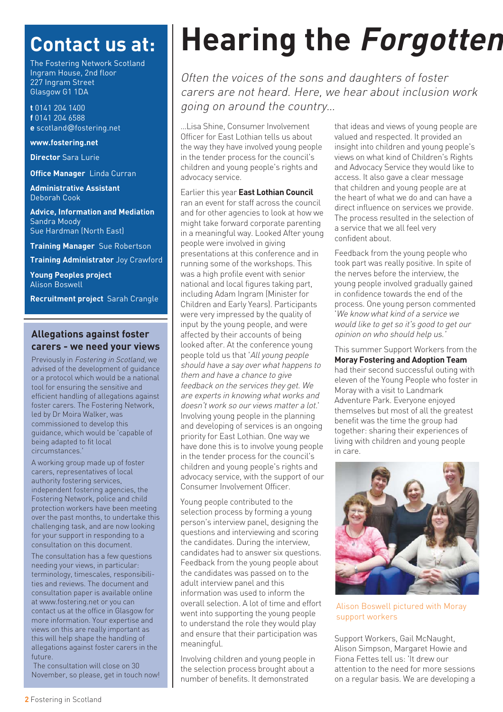# **Contact us at:**

The Fostering Network Scotland Ingram House, 2nd floor 227 Ingram Street Glasgow G1 1DA

**t** 0141 204 1400 **f** 0141 204 6588 **e** scotland@fostering.net

**www.fostering.net**

**Director** Sara Lurie

**Office Manager** Linda Curran

**Administrative Assistant**  Deborah Cook

**Advice, Information and Mediation**  Sandra Moody Sue Hardman (North East)

**Training Manager** Sue Robertson

**Training Administrator** Joy Crawford

**Young Peoples project** Alison Boswell

**Recruitment project** Sarah Crangle

#### **Allegations against foster carers - we need your views**

Previously in Fostering in Scotland, we advised of the development of guidance or a protocol which would be a national tool for ensuring the sensitive and efficient handling of allegations against foster carers. The Fostering Network, led by Dr Moira Walker, was commissioned to develop this guidance, which would be 'capable of being adapted to fit local circumstances.'

A working group made up of foster carers, representatives of local authority fostering services, independent fostering agencies, the Fostering Network, police and child protection workers have been meeting over the past months, to undertake this challenging task, and are now looking for your support in responding to a consultation on this document.

The consultation has a few questions needing your views, in particular: terminology, timescales, responsibilities and reviews. The document and consultation paper is available online at www.fostering.net or you can contact us at the office in Glasgow for more information. Your expertise and views on this are really important as this will help shape the handling of allegations against foster carers in the future.

The consultation will close on 30 November, so please, get in touch now!

# **Hearing the Forgotten**

Often the voices of the sons and daughters of foster carers are not heard. Here, we hear about inclusion work going on around the country…

…Lisa Shine, Consumer Involvement Officer for East Lothian tells us about the way they have involved young people in the tender process for the council's children and young people's rights and advocacy service.

Earlier this year **East Lothian Council** ran an event for staff across the council and for other agencies to look at how we might take forward corporate parenting in a meaningful way. Looked After young people were involved in giving presentations at this conference and in running some of the workshops. This was a high profile event with senior national and local figures taking part, including Adam Ingram (Minister for Children and Early Years). Participants were very impressed by the quality of input by the young people, and were affected by their accounts of being looked after. At the conference young people told us that 'All young people should have a say over what happens to them and have a chance to give feedback on the services they get. We are experts in knowing what works and doesn't work so our views matter a lot.' Involving young people in the planning and developing of services is an ongoing priority for East Lothian. One way we have done this is to involve young people in the tender process for the council's children and young people's rights and advocacy service, with the support of our Consumer Involvement Officer.

Young people contributed to the selection process by forming a young person's interview panel, designing the questions and interviewing and scoring the candidates. During the interview, candidates had to answer six questions. Feedback from the young people about the candidates was passed on to the adult interview panel and this information was used to inform the overall selection. A lot of time and effort went into supporting the young people to understand the role they would play and ensure that their participation was meaningful.

Involving children and young people in the selection process brought about a number of benefits. It demonstrated

that ideas and views of young people are valued and respected. It provided an insight into children and young people's views on what kind of Children's Rights and Advocacy Service they would like to access. It also gave a clear message that children and young people are at the heart of what we do and can have a direct influence on services we provide. The process resulted in the selection of a service that we all feel very confident about.

Feedback from the young people who took part was really positive. In spite of the nerves before the interview, the young people involved gradually gained in confidence towards the end of the process. One young person commented 'We know what kind of a service we would like to get so it's good to get our opinion on who should help us.'

This summer Support Workers from the **Moray Fostering and Adoption Team** had their second successful outing with eleven of the Young People who foster in Moray with a visit to Landmark Adventure Park. Everyone enjoyed themselves but most of all the greatest benefit was the time the group had together: sharing their experiences of living with children and young people in care.



Alison Boswell pictured with Moray support workers

Support Workers, Gail McNaught, Alison Simpson, Margaret Howie and Fiona Fettes tell us: 'It drew our attention to the need for more sessions on a regular basis. We are developing a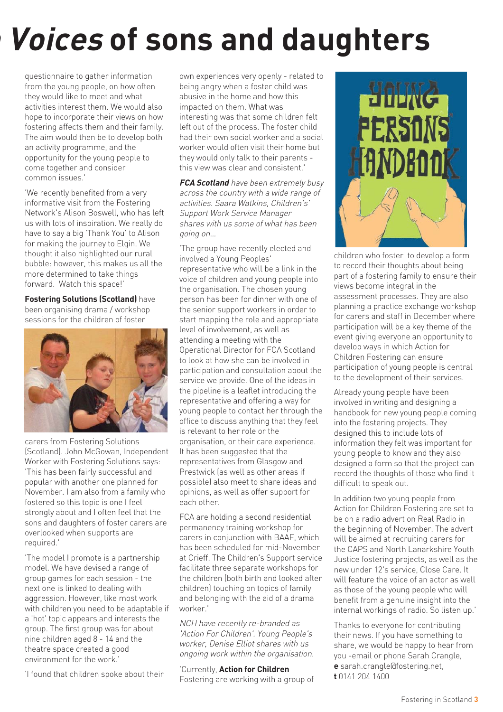# **n Voices of sons and daughters**

questionnaire to gather information from the young people, on how often they would like to meet and what activities interest them. We would also hope to incorporate their views on how fostering affects them and their family. The aim would then be to develop both an activity programme, and the opportunity for the young people to come together and consider common issues.'

'We recently benefited from a very informative visit from the Fostering Network's Alison Boswell, who has left us with lots of inspiration. We really do have to say a big 'Thank You' to Alison for making the journey to Elgin. We thought it also highlighted our rural bubble: however, this makes us all the more determined to take things forward. Watch this space!'

**Fostering Solutions (Scotland)** have been organising drama / workshop sessions for the children of foster



carers from Fostering Solutions (Scotland). John McGowan, Independent Worker with Fostering Solutions says: 'This has been fairly successful and popular with another one planned for November. I am also from a family who fostered so this topic is one I feel strongly about and I often feel that the sons and daughters of foster carers are overlooked when supports are required.'

'The model I promote is a partnership model. We have devised a range of group games for each session - the next one is linked to dealing with aggression. However, like most work with children you need to be adaptable if a 'hot' topic appears and interests the group. The first group was for about nine children aged 8 - 14 and the theatre space created a good environment for the work.'

'I found that children spoke about their

own experiences very openly - related to being angry when a foster child was abusive in the home and how this impacted on them. What was interesting was that some children felt left out of the process. The foster child had their own social worker and a social worker would often visit their home but they would only talk to their parents this view was clear and consistent.'

**FCA Scotland** have been extremely busy across the country with a wide range of activities. Saara Watkins, Children's' Support Work Service Manager shares with us some of what has been going on…

'The group have recently elected and involved a Young Peoples' representative who will be a link in the voice of children and young people into the organisation. The chosen young person has been for dinner with one of the senior support workers in order to start mapping the role and appropriate level of involvement, as well as attending a meeting with the Operational Director for FCA Scotland to look at how she can be involved in participation and consultation about the service we provide. One of the ideas in the pipeline is a leaflet introducing the representative and offering a way for young people to contact her through the office to discuss anything that they feel is relevant to her role or the organisation, or their care experience. It has been suggested that the representatives from Glasgow and Prestwick (as well as other areas if possible) also meet to share ideas and opinions, as well as offer support for each other.

FCA are holding a second residential permanency training workshop for carers in conjunction with BAAF, which has been scheduled for mid-November at Crieff. The Children's Support service facilitate three separate workshops for the children (both birth and looked after children) touching on topics of family and belonging with the aid of a drama worker.'

NCH have recently re-branded as 'Action For Children'. Young People's worker, Denise Elliot shares with us ongoing work within the organisation.

'Currently, **Action for Children** Fostering are working with a group of



children who foster to develop a form to record their thoughts about being part of a fostering family to ensure their views become integral in the assessment processes. They are also planning a practice exchange workshop for carers and staff in December where participation will be a key theme of the event giving everyone an opportunity to develop ways in which Action for Children Fostering can ensure participation of young people is central to the development of their services.

Already young people have been involved in writing and designing a handbook for new young people coming into the fostering projects. They designed this to include lots of information they felt was important for young people to know and they also designed a form so that the project can record the thoughts of those who find it difficult to speak out.

In addition two young people from Action for Children Fostering are set to be on a radio advert on Real Radio in the beginning of November. The advert will be aimed at recruiting carers for the CAPS and North Lanarkshire Youth Justice fostering projects, as well as the new under 12's service, Close Care. It will feature the voice of an actor as well as those of the young people who will benefit from a genuine insight into the internal workings of radio. So listen up.'

Thanks to everyone for contributing their news. If you have something to share, we would be happy to hear from you -email or phone Sarah Crangle, **e** sarah.crangle@fostering.net, **t** 0141 204 1400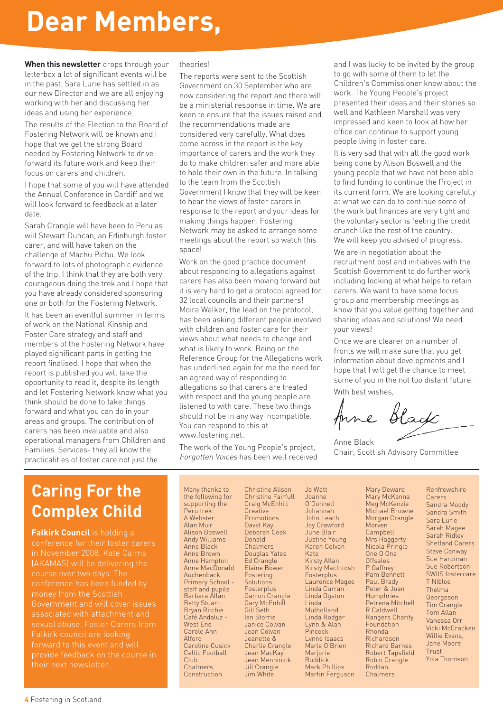# **Dear Members,**

**When this newsletter** drops through your letterbox a lot of significant events will be in the past. Sara Lurie has settled in as our new Director and we are all enjoying working with her and discussing her ideas and using her experience.

The results of the Election to the Board of Fostering Network will be known and I hope that we get the strong Board needed by Fostering Network to drive forward its future work and keep their focus on carers and children.

I hope that some of you will have attended the Annual Conference in Cardiff and we will look forward to feedback at a later date.

Sarah Crangle will have been to Peru as will Stewart Duncan, an Edinburgh foster carer, and will have taken on the challenge of Machu Pichu. We look forward to lots of photographic evidence of the trip. I think that they are both very courageous doing the trek and I hope that you have already considered sponsoring one or both for the Fostering Network.

It has been an eventful summer in terms of work on the National Kinship and Foster Care strategy and staff and members of the Fostering Network have played significant parts in getting the report finalised. I hope that when the report is published you will take the opportunity to read it, despite its length and let Fostering Network know what you think should be done to take things forward and what you can do in your areas and groups. The contribution of carers has been invaluable and also operational managers from Children and Families Services- they all know the practicalities of foster care not just the

#### theories!

The reports were sent to the Scottish Government on 30 September who are now considering the report and there will be a ministerial response in time. We are keen to ensure that the issues raised and the recommendations made are considered very carefully. What does come across in the report is the key importance of carers and the work they do to make children safer and more able to hold their own in the future. In talking to the team from the Scottish Government I know that they will be keen to hear the views of foster carers in response to the report and your ideas for making things happen. Fostering Network may be asked to arrange some meetings about the report so watch this space!

Work on the good practice document about responding to allegations against carers has also been moving forward but it is very hard to get a protocol agreed for 32 local councils and their partners! Moira Walker, the lead on the protocol, has been asking different people involved with children and foster care for their views about what needs to change and what is likely to work. Being on the Reference Group for the Allegations work has underlined again for me the need for an agreed way of responding to allegations so that carers are treated with respect and the young people are listened to with care. These two things should not be in any way incompatible. You can respond to this at www.fostering.net.

The work of the Young People's project, Forgotten Voices has been well received and I was lucky to be invited by the group to go with some of them to let the Children's Commissioner know about the work. The Young People's project presented their ideas and their stories so well and Kathleen Marshall was very impressed and keen to look at how her office can continue to support young people living in foster care.

It is very sad that with all the good work being done by Alison Boswell and the young people that we have not been able to find funding to continue the Project in its current form. We are looking carefully at what we can do to continue some of the work but finances are very tight and the voluntary sector is feeling the credit crunch like the rest of the country. We will keep you advised of progress.

We are in negotiation about the recruitment post and initiatives with the Scottish Government to do further work including looking at what helps to retain carers. We want to have some focus group and membership meetings as I know that you value getting together and sharing ideas and solutions! We need your views!

Once we are clearer on a number of fronts we will make sure that you get information about developments and I hope that I will get the chance to meet some of you in the not too distant future. With best wishes.

Anne Black

Anne Black Chair, Scottish Advisory Committee

# **Caring For the Complex Child**

**Falkirk Council** is holding a conference for their foster carers in November 2008. Kate Cairns (AKAMAS) will be delivering the money from the Scottish Government and will cover issues associated with attachment and sexual abuse. Foster Carers from Falkirk council are looking forward to this event and will provide feedback on the course in their next newsletter.

Many thanks to the following for supporting the Peru trek: A Webster Alan Muir Alison Boswell Andy Williams Anne Black Anne Brown Anne Hampton Anne MacDonald Auchenback Primary School staff and pupils Barbara Allan Betty Stuart Bryan Ritchie Café Andaluz - West End Carole Ann Alford Caroline Cusick Celtic Football Club Chalmers Construction

Christine Alison Christine Fairfull Craig McEnhill **Creative** Promotions David Kay Deborah Cook Donald Chalmers Douglas Yates Ed Crangle Elaine Bower Fostering **Solutions Fosterplus** Garron Crangle Gary McEnhill Gill Seth Ian Storrie Janice Colvan Jean Colvan Jeanette & Charlie Crangle Jean MacKay Jean Menhinick Jill Crangle Jim White

Jo Watt Joanne O'Donnell Johannah John Leach Joy Crawford June Blair Justine Young Karen Colvan Kate Kirsty Allan Kirsty MacIntosh Fosterplus Laurence Magee Linda Curran Linda Ogston Linda Mulholland Linda Rodger Lynn & Alan **Pincock** Lynne Isaacs Marie O'Brien Marjorie Ruddick Mark Phillips Martin Ferguson

Mary Deward Mary McKenna Meg McKenzie Michael Browne Morgan Crangle Morven Campbell Mrs Haggerty Nicola Pringle One O One Offsales P Gaffney Pam Bennett Paul Brady Peter & Joan Humphries Petrena Mitchell R Caldwell Rangers Charity Foundation Rhonda Richardson Richard Barnes Robert Tapsfield Robin Crangle Roddan

Chalmers

Renfrewshire **Carers** Sandra Moody Sandra Smith Sara Lurie Sarah Magee Sarah Ridley Shetland Carers Steve Conway Sue Hardman Sue Robertson SWIIS fostercare T Nibloe Thelma Georgeson Tim Crangle Tom Allan Vanessa Orr Vicki McCracken Willie Evans, Jane Moore Trust Yola Thomson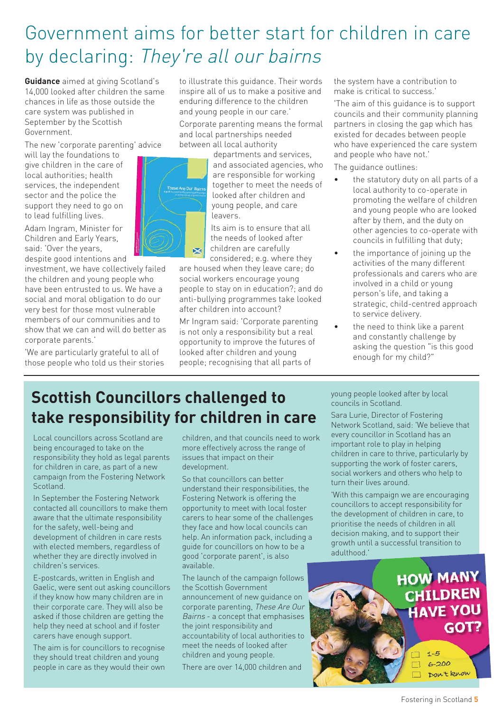# Government aims for better start for children in care by declaring: They're all our bairns

**Guidance** aimed at giving Scotland's 14,000 looked after children the same chances in life as those outside the care system was published in September by the Scottish Government.

The new 'corporate parenting' advice

will lay the foundations to give children in the care of local authorities; health services, the independent sector and the police the support they need to go on to lead fulfilling lives.

Adam Ingram, Minister for Children and Early Years, said: 'Over the years, despite good intentions and

investment, we have collectively failed the children and young people who have been entrusted to us. We have a social and moral obligation to do our very best for those most vulnerable members of our communities and to show that we can and will do better as corporate parents.'

'We are particularly grateful to all of those people who told us their stories to illustrate this guidance. Their words inspire all of us to make a positive and enduring difference to the children and young people in our care.'

Corporate parenting means the formal and local partnerships needed between all local authority

×

departments and services and associated agencies, who are responsible for working together to meet the needs of looked after children and young people, and care leavers.

Its aim is to ensure that all the needs of looked after children are carefully considered; e.g. where they

are housed when they leave care; do social workers encourage young people to stay on in education?; and do anti-bullying programmes take looked after children into account?

Mr Ingram said: 'Corporate parenting is not only a responsibility but a real opportunity to improve the futures of looked after children and young people; recognising that all parts of

the system have a contribution to make is critical to success.'

'The aim of this guidance is to support councils and their community planning partners in closing the gap which has existed for decades between people who have experienced the care system and people who have not.'

The guidance outlines:

- the statutory duty on all parts of a local authority to co-operate in promoting the welfare of children and young people who are looked after by them, and the duty on other agencies to co-operate with councils in fulfilling that duty;
- the importance of joining up the activities of the many different professionals and carers who are involved in a child or young person's life, and taking a strategic, child-centred approach to service delivery.
- the need to think like a parent and constantly challenge by asking the question "is this good enough for my child?"

## **Scottish Councillors challenged to take responsibility for children in care**

Local councillors across Scotland are being encouraged to take on the responsibility they hold as legal parents for children in care, as part of a new campaign from the Fostering Network Scotland.

In September the Fostering Network contacted all councillors to make them aware that the ultimate responsibility for the safety, well-being and development of children in care rests with elected members, regardless of whether they are directly involved in children's services.

E-postcards, written in English and Gaelic, were sent out asking councillors if they know how many children are in their corporate care. They will also be asked if those children are getting the help they need at school and if foster carers have enough support.

The aim is for councillors to recognise they should treat children and young people in care as they would their own

children, and that councils need to work more effectively across the range of issues that impact on their development.

So that councillors can better understand their responsibilities, the Fostering Network is offering the opportunity to meet with local foster carers to hear some of the challenges they face and how local councils can help. An information pack, including a guide for councillors on how to be a good 'corporate parent', is also available.

The launch of the campaign follows the Scottish Government announcement of new guidance on corporate parenting, These Are Our Bairns - a concept that emphasises the joint responsibility and accountability of local authorities to meet the needs of looked after children and young people. There are over 14,000 children and

young people looked after by local councils in Scotland.

Sara Lurie, Director of Fostering Network Scotland, said: 'We believe that every councillor in Scotland has an important role to play in helping children in care to thrive, particularly by supporting the work of foster carers, social workers and others who help to turn their lives around.

'With this campaign we are encouraging councillors to accept responsibility for the development of children in care, to prioritise the needs of children in all decision making, and to support their growth until a successful transition to adulthood.'

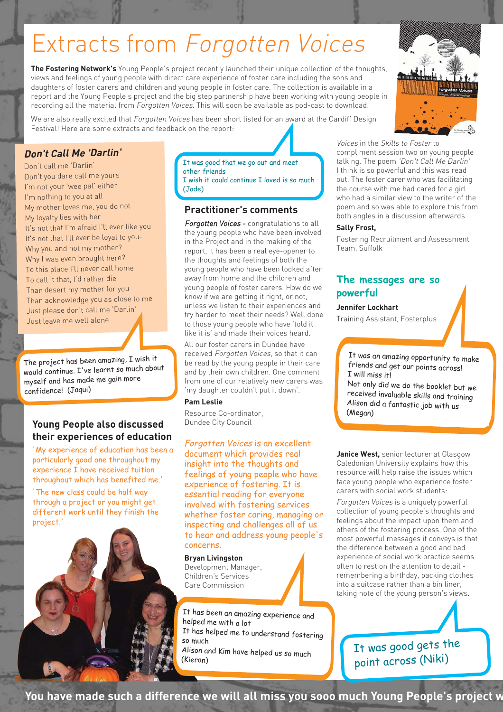# Extracts from Forgotten Voices

**The Fostering Network's** Young People's project recently launched their unique collection of the thoughts, views and feelings of young people with direct care experience of foster care including the sons and daughters of foster carers and children and young people in foster care. The collection is available in a report and the Young People's project and the big step partnership have been working with young people in recording all the material from Forgotten Voices. This will soon be available as pod-cast to download.

We are also really excited that Forgotten Voices has been short listed for an award at the Cardiff Design Festival! Here are some extracts and feedback on the report:



#### **Don't Call Me 'Darlin'**

Don't call me 'Darlin' Don't you dare call me yours I'm not your 'wee pal' either I'm nothing to you at all My mother loves me, you do not My loyalty lies with her It's not that I'm afraid I'll ever like you It's not that I'll ever be loyal to you-Why you and not my mother? Why I was even brought here? To this place I'll never call home To call it that, I'd rather die Than desert my mother for you Than acknowledge you as close to me Just please don't call me 'Darlin' Just leave me well alone

The project has been amazing, I wish it would continue. I've learnt so much about myself and has made me gain more confidence! (Jaqui)

#### **Young People also discussed their experiences of education**

'My experience of education has been a particularly good one throughout my experience I have received tuition throughout which has benefited me.'

'The new class could be half way through a project or you might get different work until they finish the project.'



It was good that we go out and meet other friends I wish it could continue I loved is so much (Jade)

#### **Practitioner's comments**

Foraotten Voices - congratulations to all the young people who have been involved in the Project and in the making of the report, it has been a real eye-opener to the thoughts and feelings of both the young people who have been looked after away from home and the children and young people of foster carers. How do we know if we are getting it right, or not, unless we listen to their experiences and try harder to meet their needs? Well done to those young people who have 'told it like it is' and made their voices heard.

All our foster carers in Dundee have received Forgotten Voices, so that it can be read by the young people in their care and by their own children. One comment from one of our relatively new carers was 'my daughter couldn't put it down'.

#### **Pam Leslie**

Resource Co-ordinator, Dundee City Council

Forgotten Voices is an excellent document which provides real insight into the thoughts and feelings of young people who have experience of fostering. It is essential reading for everyone involved with fostering services whether foster caring, managing or inspecting and challenges all of us to hear and address young people's concerns.

#### **Bryan Livingston**

Development Manager, Children's Services Care Commission

It has been an amazing experience and helped me with a lot It has helped me to understand fostering so much Alison and Kim have helped us so much (Kieran)

I have recently used Forgotten

Voices in the Skills to Foster to compliment session two on young people talking. The poem 'Don't Call Me Darlin' I think is so powerful and this was read out. The foster carer who was facilitating the course with me had cared for a girl who had a similar view to the writer of the poem and so was able to explore this from both angles in a discussion afterwards

#### **Sally Frost,**

Fostering Recruitment and Assessment Team, Suffolk

#### **The messages are so powerful**

**Jennifer Lockhart**

Training Assistant, Fosterplus

It was an amazing opportunity to make friends and get our points across! I will miss it!

Not only did we do the booklet but we received invaluable skills and training Alison did a fantastic job with us (Megan)

**Janice West,** senior lecturer at Glasgow Caledonian University explains how this resource will help raise the issues which face young people who experience foster carers with social work students:

Forgotten Voices is a uniquely powerful collection of young people's thoughts and feelings about the impact upon them and others of the fostering process. One of the most powerful messages it conveys is that the difference between a good and bad experience of social work practice seems often to rest on the attention to detail remembering a birthday, packing clothes into a suitcase rather than a bin liner, taking note of the young person's views.

> It was good gets the point across (Niki)

**You have made such a difference we will all miss you sooo much Young People's project w**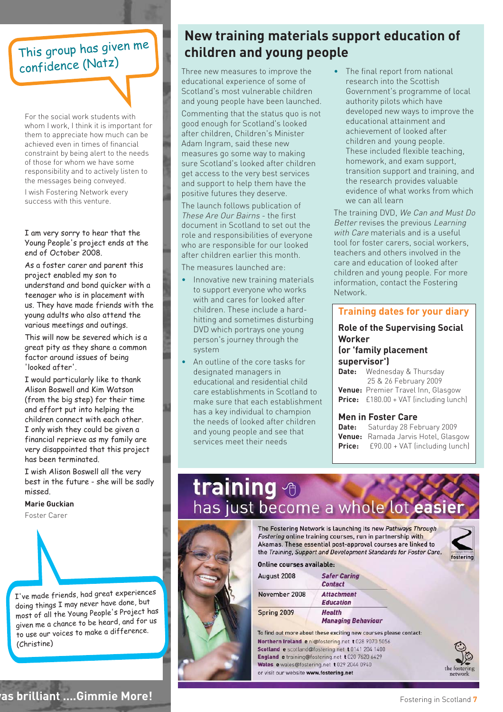### This group has given me confidence (Natz)

For the social work students with whom I work, I think it is important for them to appreciate how much can be achieved even in times of financial constraint by being alert to the needs of those for whom we have some responsibility and to actively listen to the messages being conveyed. I wish Fostering Network every success with this venture.

I am very sorry to hear that the Young People's project ends at the end of October 2008.

As a foster carer and parent this project enabled my son to understand and bond quicker with a teenager who is in placement with us. They have made friends with the young adults who also attend the various meetings and outings.

This will now be severed which is a great pity as they share a common factor around issues of being 'looked after'.

I would particularly like to thank Alison Boswell and Kim Watson (from the big step) for their time and effort put into helping the children connect with each other. I only wish they could be given a financial reprieve as my family are very disappointed that this project has been terminated.

I wish Alison Boswell all the very best in the future - she will be sadly missed.

**Marie Guckian**

Foster Carer

<sup>I</sup>'ve made friends, had great experiences doing things I may never have done, but most of all the Young People's Project has given me a chance to be heard, and for us to use our voices to make a difference. (Christine)

#### **New training materials support education of children and young people**

Three new measures to improve the educational experience of some of Scotland's most vulnerable children and young people have been launched.

Commenting that the status quo is not good enough for Scotland's looked after children, Children's Minister Adam Ingram, said these new measures go some way to making sure Scotland's looked after children get access to the very best services and support to help them have the positive futures they deserve.

The launch follows publication of These Are Our Bairns - the first document in Scotland to set out the role and responsibilities of everyone who are responsible for our looked after children earlier this month.

The measures launched are:

- Innovative new training materials to support everyone who works with and cares for looked after children. These include a hardhitting and sometimes disturbing DVD which portrays one young person's journey through the system
- An outline of the core tasks for designated managers in educational and residential child care establishments in Scotland to make sure that each establishment has a key individual to champion the needs of looked after children and young people and see that services meet their needs

• The final report from national research into the Scottish Government's programme of local authority pilots which have developed new ways to improve the educational attainment and achievement of looked after children and young people. These included flexible teaching, homework, and exam support, transition support and training, and the research provides valuable evidence of what works from which we can all learn

The training DVD, We Can and Must Do Better revises the previous Learning with Care materials and is a useful tool for foster carers, social workers, teachers and others involved in the care and education of looked after children and young people. For more information, contact the Fostering Network.

#### **Training dates for your diary**

#### **Role of the Supervising Social Worker (or 'family placement**

**supervisor')**

**Date:** Wednesday & Thursday 25 & 26 February 2009 **Venue:** Premier Travel Inn, Glasgow **Price:** £180.00 + VAT (including lunch)

#### **Men in Foster Care**

**Date:** Saturday 28 February 2009 **Venue:** Ramada Jarvis Hotel, Glasgow **Price:** £90.00 + VAT (including lunch)

# training <sup>®</sup> has just become a whole lot easie



The Fostering Network is launching its new Pathways Through Fostering online training courses, run in partnership with Akamas. These essential post-approval courses are linked to the Training, Support and Development Standards for Foster Care.



Online courses available-

| August 2008   | <b>Safer Caring</b><br><b>Contact</b> |
|---------------|---------------------------------------|
| November 2008 | <b>Attachment</b><br><b>Education</b> |
| Spring 2009   | Health<br><b>Managing Behaviour</b>   |

To find out more about these exciting new courses please contact: Northern Ireland e ni@fostering.net t 028 9070 5056 Scotland e scotland@fostering.net t 0141 204 1400 England e training@fostering.net t 020 7620 6429 Wales e wales@fostering.net t 029 2044 0940 or visit our website www.fostering.net



**was brilliant ….Gimmie More!**